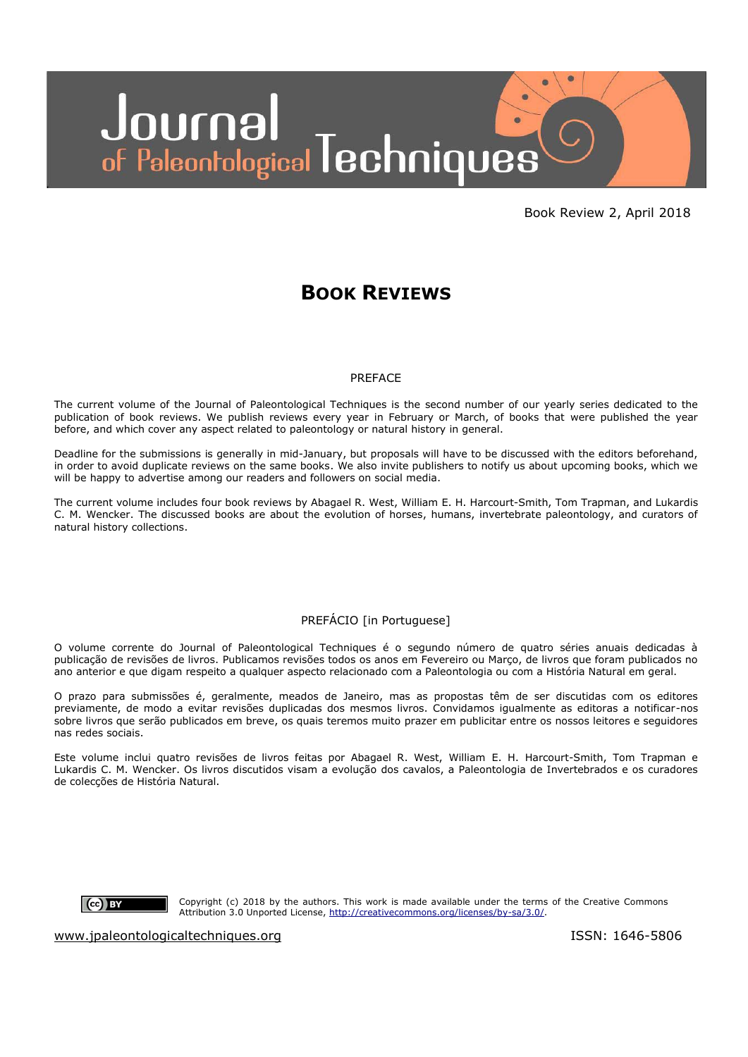

Book Review 2, April 2018

# **BOOK REVIEWS**

#### PREFACE

The current volume of the Journal of Paleontological Techniques is the second number of our yearly series dedicated to the publication of book reviews. We publish reviews every year in February or March, of books that were published the year before, and which cover any aspect related to paleontology or natural history in general.

Deadline for the submissions is generally in mid-January, but proposals will have to be discussed with the editors beforehand, in order to avoid duplicate reviews on the same books. We also invite publishers to notify us about upcoming books, which we will be happy to advertise among our readers and followers on social media.

The current volume includes four book reviews by Abagael R. West, William E. H. Harcourt-Smith, Tom Trapman, and Lukardis C. M. Wencker. The discussed books are about the evolution of horses, humans, invertebrate paleontology, and curators of natural history collections.

## PREFÁCIO [in Portuguese]

O volume corrente do Journal of Paleontological Techniques é o segundo número de quatro séries anuais dedicadas à publicação de revisões de livros. Publicamos revisões todos os anos em Fevereiro ou Março, de livros que foram publicados no ano anterior e que digam respeito a qualquer aspecto relacionado com a Paleontologia ou com a História Natural em geral.

O prazo para submissões é, geralmente, meados de Janeiro, mas as propostas têm de ser discutidas com os editores previamente, de modo a evitar revisões duplicadas dos mesmos livros. Convidamos igualmente as editoras a notificar-nos sobre livros que serão publicados em breve, os quais teremos muito prazer em publicitar entre os nossos leitores e seguidores nas redes sociais.

Este volume inclui quatro revisões de livros feitas por Abagael R. West, William E. H. Harcourt-Smith, Tom Trapman e Lukardis C. M. Wencker. Os livros discutidos visam a evolução dos cavalos, a Paleontologia de Invertebrados e os curadores de colecções de História Natural.



Copyright (c) 2018 by the authors. This work is made available under the terms of the Creative Commons Attribution 3.0 Unported License, [http://creativecommons.org/licenses/by-sa/3.0/.](http://creativecommons.org/licenses/by-sa/3.0/)

[www.jpaleontologicaltechniques.org](http://www.jpaleontologicaltechniques.org/) is a set of the ISSN: 1646-5806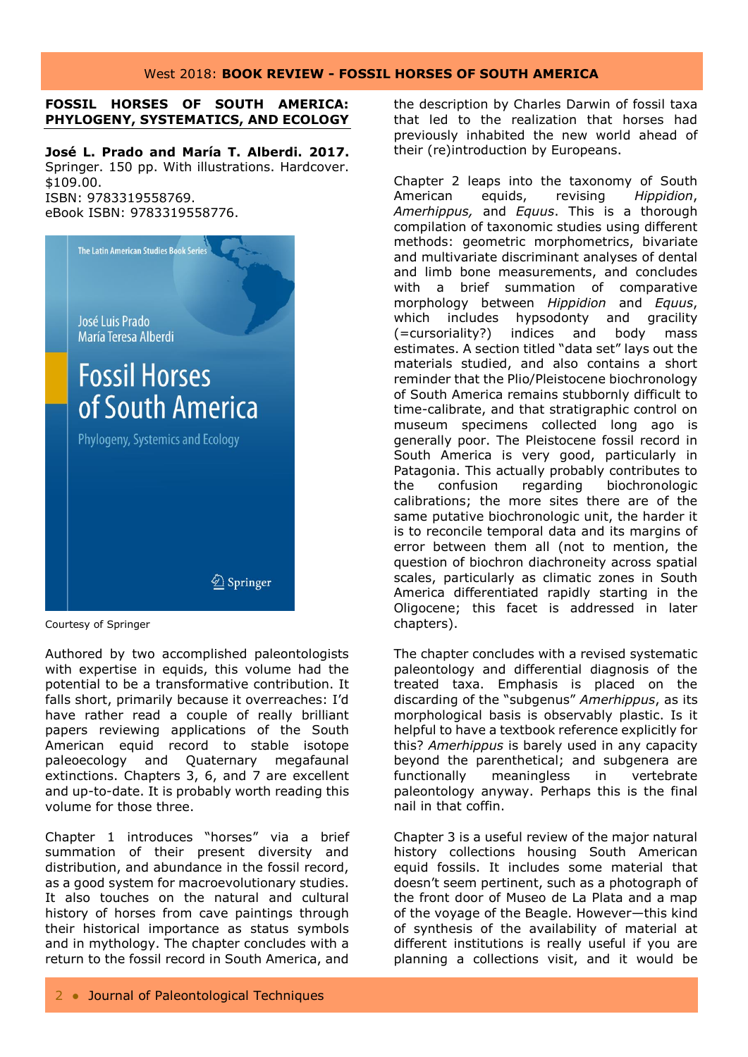## West 2018: **BOOK REVIEW - FOSSIL HORSES OF SOUTH AMERICA**

## **FOSSIL HORSES OF SOUTH AMERICA: PHYLOGENY, SYSTEMATICS, AND ECOLOGY**

**José L. Prado and María T. Alberdi. 2017.**  Springer. 150 pp. With illustrations. Hardcover. \$109.00. ISBN: 9783319558769. eBook ISBN: 9783319558776.



Courtesy of Springer

Authored by two accomplished paleontologists with expertise in equids, this volume had the potential to be a transformative contribution. It falls short, primarily because it overreaches: I'd have rather read a couple of really brilliant papers reviewing applications of the South American equid record to stable isotope paleoecology and Quaternary megafaunal extinctions. Chapters 3, 6, and 7 are excellent and up-to-date. It is probably worth reading this volume for those three.

Chapter 1 introduces "horses" via a brief summation of their present diversity and distribution, and abundance in the fossil record, as a good system for macroevolutionary studies. It also touches on the natural and cultural history of horses from cave paintings through their historical importance as status symbols and in mythology. The chapter concludes with a return to the fossil record in South America, and the description by Charles Darwin of fossil taxa that led to the realization that horses had previously inhabited the new world ahead of their (re)introduction by Europeans.

Chapter 2 leaps into the taxonomy of South American equids, revising *Hippidion*, *Amerhippus,* and *Equus*. This is a thorough compilation of taxonomic studies using different methods: geometric morphometrics, bivariate and multivariate discriminant analyses of dental and limb bone measurements, and concludes with a brief summation of comparative morphology between *Hippidion* and *Equus*, which includes hypsodonty and gracility (=cursoriality?) indices and body mass estimates. A section titled "data set" lays out the materials studied, and also contains a short reminder that the Plio/Pleistocene biochronology of South America remains stubbornly difficult to time-calibrate, and that stratigraphic control on museum specimens collected long ago is generally poor. The Pleistocene fossil record in South America is very good, particularly in Patagonia. This actually probably contributes to the confusion regarding biochronologic calibrations; the more sites there are of the same putative biochronologic unit, the harder it is to reconcile temporal data and its margins of error between them all (not to mention, the question of biochron diachroneity across spatial scales, particularly as climatic zones in South America differentiated rapidly starting in the Oligocene; this facet is addressed in later chapters).

The chapter concludes with a revised systematic paleontology and differential diagnosis of the treated taxa. Emphasis is placed on the discarding of the "subgenus" *Amerhippus*, as its morphological basis is observably plastic. Is it helpful to have a textbook reference explicitly for this? *Amerhippus* is barely used in any capacity beyond the parenthetical; and subgenera are functionally meaningless in vertebrate paleontology anyway. Perhaps this is the final nail in that coffin.

Chapter 3 is a useful review of the major natural history collections housing South American equid fossils. It includes some material that doesn't seem pertinent, such as a photograph of the front door of Museo de La Plata and a map of the voyage of the Beagle. However—this kind of synthesis of the availability of material at different institutions is really useful if you are planning a collections visit, and it would be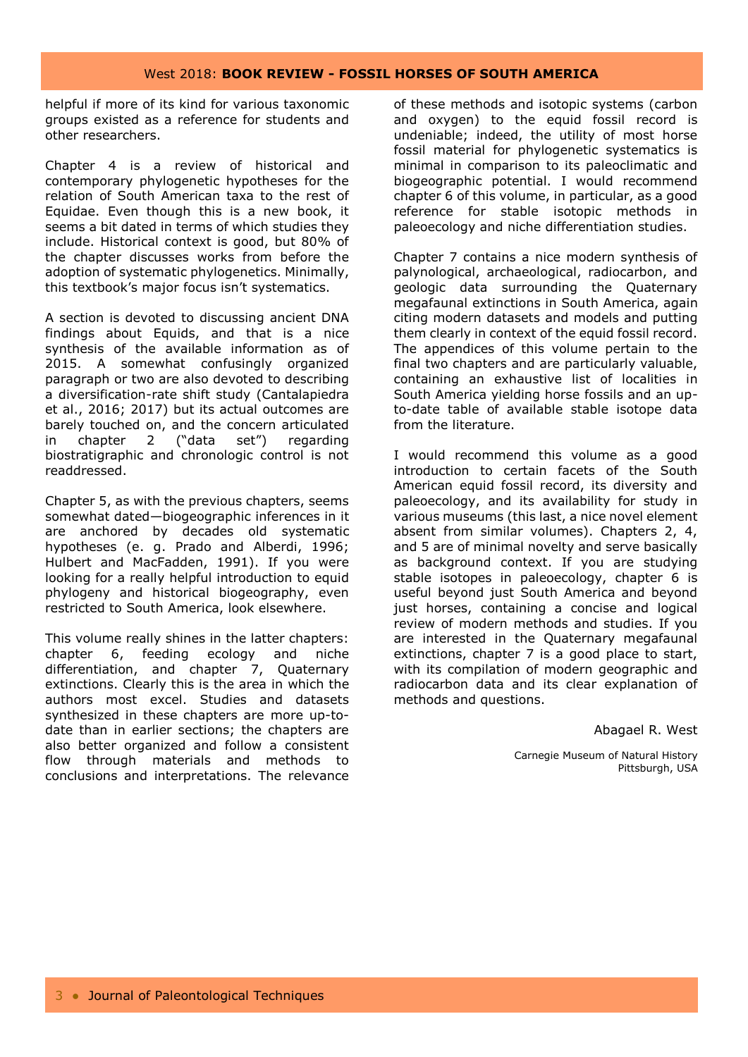## West 2018: **BOOK REVIEW - FOSSIL HORSES OF SOUTH AMERICA**

helpful if more of its kind for various taxonomic groups existed as a reference for students and other researchers.

Chapter 4 is a review of historical and contemporary phylogenetic hypotheses for the relation of South American taxa to the rest of Equidae. Even though this is a new book, it seems a bit dated in terms of which studies they include. Historical context is good, but 80% of the chapter discusses works from before the adoption of systematic phylogenetics. Minimally, this textbook's major focus isn't systematics.

A section is devoted to discussing ancient DNA findings about Equids, and that is a nice synthesis of the available information as of 2015. A somewhat confusingly organized paragraph or two are also devoted to describing a diversification-rate shift study (Cantalapiedra et al., 2016; 2017) but its actual outcomes are barely touched on, and the concern articulated in chapter 2 ("data set") regarding biostratigraphic and chronologic control is not readdressed.

Chapter 5, as with the previous chapters, seems somewhat dated—biogeographic inferences in it are anchored by decades old systematic hypotheses (e. g. Prado and Alberdi, 1996; Hulbert and MacFadden, 1991). If you were looking for a really helpful introduction to equid phylogeny and historical biogeography, even restricted to South America, look elsewhere.

This volume really shines in the latter chapters: chapter 6, feeding ecology and niche differentiation, and chapter 7, Quaternary extinctions. Clearly this is the area in which the authors most excel. Studies and datasets synthesized in these chapters are more up-todate than in earlier sections; the chapters are also better organized and follow a consistent flow through materials and methods to conclusions and interpretations. The relevance of these methods and isotopic systems (carbon and oxygen) to the equid fossil record is undeniable; indeed, the utility of most horse fossil material for phylogenetic systematics is minimal in comparison to its paleoclimatic and biogeographic potential. I would recommend chapter 6 of this volume, in particular, as a good reference for stable isotopic methods in paleoecology and niche differentiation studies.

Chapter 7 contains a nice modern synthesis of palynological, archaeological, radiocarbon, and geologic data surrounding the Quaternary megafaunal extinctions in South America, again citing modern datasets and models and putting them clearly in context of the equid fossil record. The appendices of this volume pertain to the final two chapters and are particularly valuable, containing an exhaustive list of localities in South America yielding horse fossils and an upto-date table of available stable isotope data from the literature.

I would recommend this volume as a good introduction to certain facets of the South American equid fossil record, its diversity and paleoecology, and its availability for study in various museums (this last, a nice novel element absent from similar volumes). Chapters 2, 4, and 5 are of minimal novelty and serve basically as background context. If you are studying stable isotopes in paleoecology, chapter 6 is useful beyond just South America and beyond just horses, containing a concise and logical review of modern methods and studies. If you are interested in the Quaternary megafaunal extinctions, chapter 7 is a good place to start, with its compilation of modern geographic and radiocarbon data and its clear explanation of methods and questions.

Abagael R. West

Carnegie Museum of Natural History Pittsburgh, USA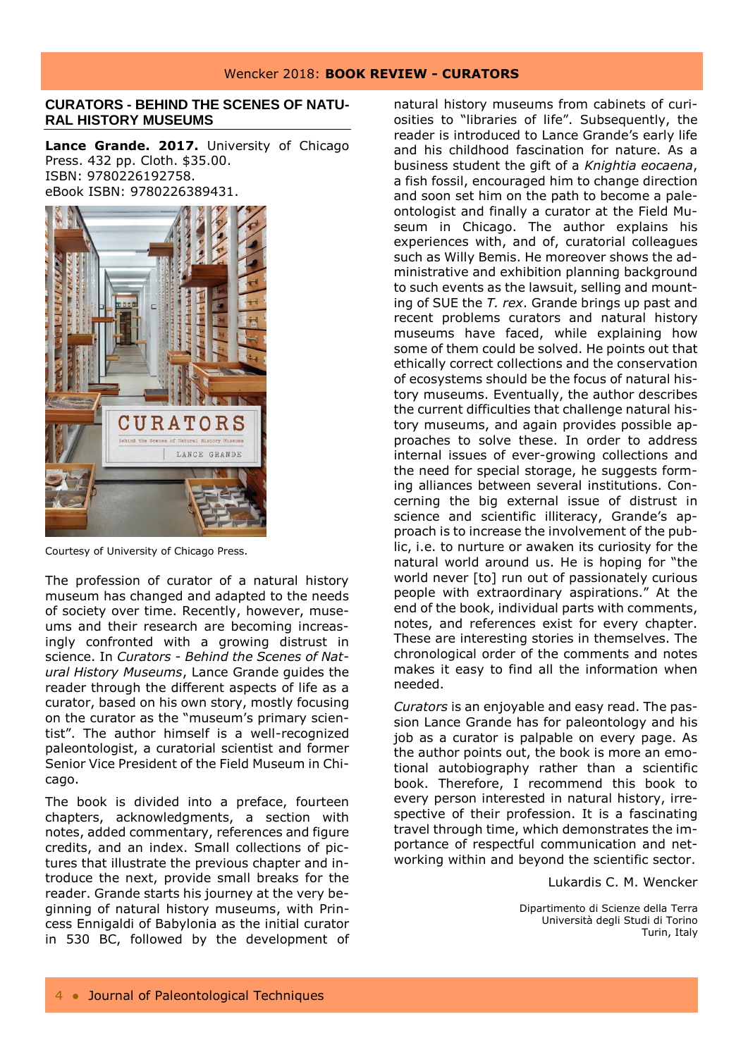## **CURATORS - BEHIND THE SCENES OF NATU-RAL HISTORY MUSEUMS**

Lance Grande. 2017. University of Chicago Press. 432 pp. Cloth. \$35.00. ISBN: 9780226192758. eBook ISBN: 9780226389431.



Courtesy of University of Chicago Press.

The profession of curator of a natural history museum has changed and adapted to the needs of society over time. Recently, however, museums and their research are becoming increasingly confronted with a growing distrust in science. In *Curators - Behind the Scenes of Natural History Museums*, Lance Grande guides the reader through the different aspects of life as a curator, based on his own story, mostly focusing on the curator as the "museum's primary scientist". The author himself is a well-recognized paleontologist, a curatorial scientist and former Senior Vice President of the Field Museum in Chicago.

The book is divided into a preface, fourteen chapters, acknowledgments, a section with notes, added commentary, references and figure credits, and an index. Small collections of pictures that illustrate the previous chapter and introduce the next, provide small breaks for the reader. Grande starts his journey at the very beginning of natural history museums, with Princess Ennigaldi of Babylonia as the initial curator in 530 BC, followed by the development of

natural history museums from cabinets of curiosities to "libraries of life". Subsequently, the reader is introduced to Lance Grande's early life and his childhood fascination for nature. As a business student the gift of a *Knightia eocaena*, a fish fossil, encouraged him to change direction and soon set him on the path to become a paleontologist and finally a curator at the Field Museum in Chicago. The author explains his experiences with, and of, curatorial colleagues such as Willy Bemis. He moreover shows the administrative and exhibition planning background to such events as the lawsuit, selling and mounting of SUE the *T. rex*. Grande brings up past and recent problems curators and natural history museums have faced, while explaining how some of them could be solved. He points out that ethically correct collections and the conservation of ecosystems should be the focus of natural history museums. Eventually, the author describes the current difficulties that challenge natural history museums, and again provides possible approaches to solve these. In order to address internal issues of ever-growing collections and the need for special storage, he suggests forming alliances between several institutions. Concerning the big external issue of distrust in science and scientific illiteracy, Grande's approach is to increase the involvement of the public, i.e. to nurture or awaken its curiosity for the natural world around us. He is hoping for "the world never [to] run out of passionately curious people with extraordinary aspirations." At the end of the book, individual parts with comments, notes, and references exist for every chapter. These are interesting stories in themselves. The chronological order of the comments and notes makes it easy to find all the information when needed.

*Curators* is an enjoyable and easy read. The passion Lance Grande has for paleontology and his job as a curator is palpable on every page. As the author points out, the book is more an emotional autobiography rather than a scientific book. Therefore, I recommend this book to every person interested in natural history, irrespective of their profession. It is a fascinating travel through time, which demonstrates the importance of respectful communication and networking within and beyond the scientific sector.

Lukardis C. M. Wencker

Dipartimento di Scienze della Terra Università degli Studi di Torino Turin, Italy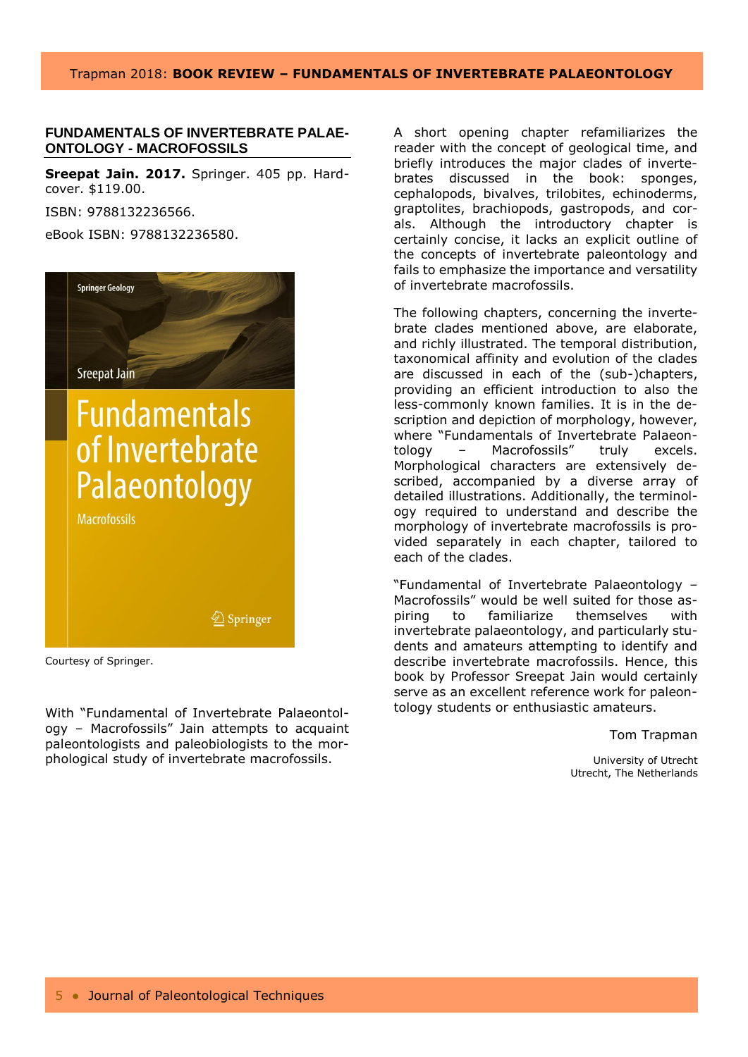## Trapman 2018: **BOOK REVIEW – FUNDAMENTALS OF INVERTEBRATE PALAEONTOLOGY**

## **FUNDAMENTALS OF INVERTEBRATE PALAE-ONTOLOGY - MACROFOSSILS**

**Sreepat Jain. 2017.** Springer. 405 pp. Hardcover. \$119.00. ISBN: 9788132236566.

eBook ISBN: 9788132236580.



Courtesy of Springer.

With "Fundamental of Invertebrate Palaeontology – Macrofossils" Jain attempts to acquaint paleontologists and paleobiologists to the morphological study of invertebrate macrofossils.

A short opening chapter refamiliarizes the reader with the concept of geological time, and briefly introduces the major clades of invertebrates discussed in the book: sponges, cephalopods, bivalves, trilobites, echinoderms, graptolites, brachiopods, gastropods, and corals. Although the introductory chapter is certainly concise, it lacks an explicit outline of the concepts of invertebrate paleontology and fails to emphasize the importance and versatility of invertebrate macrofossils.

The following chapters, concerning the invertebrate clades mentioned above, are elaborate, and richly illustrated. The temporal distribution, taxonomical affinity and evolution of the clades are discussed in each of the (sub-)chapters, providing an efficient introduction to also the less-commonly known families. It is in the description and depiction of morphology, however, where "Fundamentals of Invertebrate Palaeontology – Macrofossils" truly excels. Morphological characters are extensively described, accompanied by a diverse array of detailed illustrations. Additionally, the terminology required to understand and describe the morphology of invertebrate macrofossils is provided separately in each chapter, tailored to each of the clades.

"Fundamental of Invertebrate Palaeontology – Macrofossils" would be well suited for those aspiring to familiarize themselves with invertebrate palaeontology, and particularly students and amateurs attempting to identify and describe invertebrate macrofossils. Hence, this book by Professor Sreepat Jain would certainly serve as an excellent reference work for paleontology students or enthusiastic amateurs.

Tom Trapman

University of Utrecht Utrecht, The Netherlands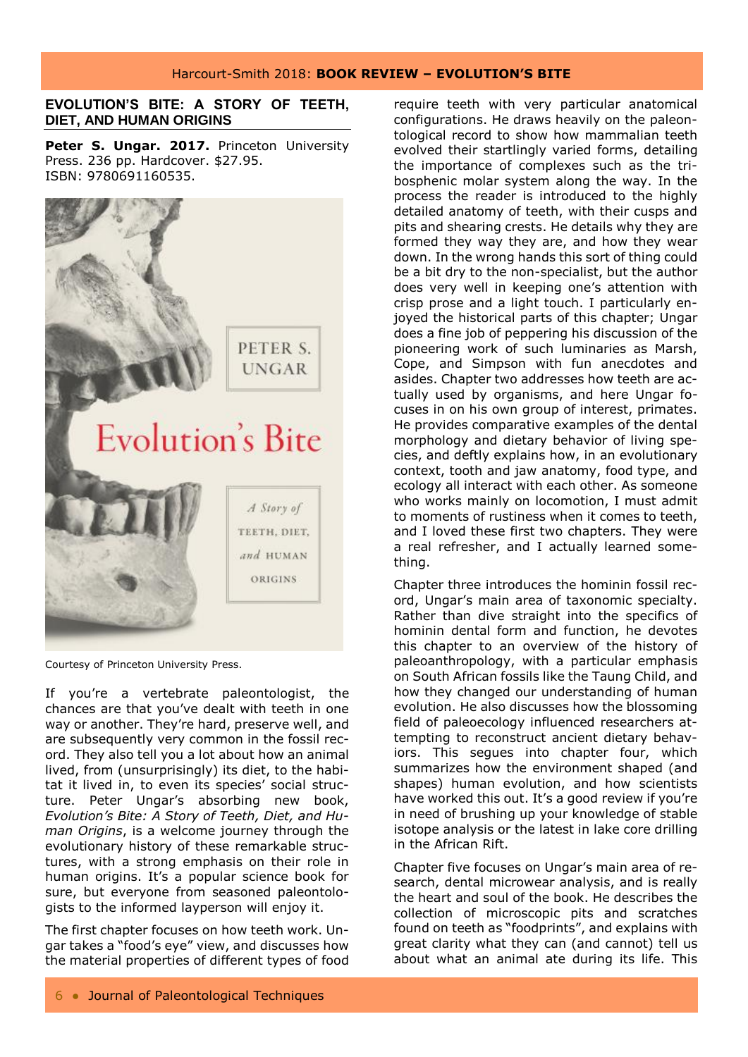## Harcourt-Smith 2018: **BOOK REVIEW – EVOLUTION'S BITE**

## **EVOLUTION'S BITE: A STORY OF TEETH, DIET, AND HUMAN ORIGINS**

Peter S. Ungar. 2017. Princeton University Press. 236 pp. Hardcover. \$27.95. ISBN: 9780691160535.



Courtesy of Princeton University Press.

If you're a vertebrate paleontologist, the chances are that you've dealt with teeth in one way or another. They're hard, preserve well, and are subsequently very common in the fossil record. They also tell you a lot about how an animal lived, from (unsurprisingly) its diet, to the habitat it lived in, to even its species' social structure. Peter Ungar's absorbing new book, *Evolution's Bite: A Story of Teeth, Diet, and Human Origins*, is a welcome journey through the evolutionary history of these remarkable structures, with a strong emphasis on their role in human origins. It's a popular science book for sure, but everyone from seasoned paleontologists to the informed layperson will enjoy it.

The first chapter focuses on how teeth work. Ungar takes a "food's eye" view, and discusses how the material properties of different types of food

require teeth with very particular anatomical configurations. He draws heavily on the paleontological record to show how mammalian teeth evolved their startlingly varied forms, detailing the importance of complexes such as the tribosphenic molar system along the way. In the process the reader is introduced to the highly detailed anatomy of teeth, with their cusps and pits and shearing crests. He details why they are formed they way they are, and how they wear down. In the wrong hands this sort of thing could be a bit dry to the non-specialist, but the author does very well in keeping one's attention with crisp prose and a light touch. I particularly enjoyed the historical parts of this chapter; Ungar does a fine job of peppering his discussion of the pioneering work of such luminaries as Marsh, Cope, and Simpson with fun anecdotes and asides. Chapter two addresses how teeth are actually used by organisms, and here Ungar focuses in on his own group of interest, primates. He provides comparative examples of the dental morphology and dietary behavior of living species, and deftly explains how, in an evolutionary context, tooth and jaw anatomy, food type, and ecology all interact with each other. As someone who works mainly on locomotion, I must admit to moments of rustiness when it comes to teeth, and I loved these first two chapters. They were a real refresher, and I actually learned something.

Chapter three introduces the hominin fossil record, Ungar's main area of taxonomic specialty. Rather than dive straight into the specifics of hominin dental form and function, he devotes this chapter to an overview of the history of paleoanthropology, with a particular emphasis on South African fossils like the Taung Child, and how they changed our understanding of human evolution. He also discusses how the blossoming field of paleoecology influenced researchers attempting to reconstruct ancient dietary behaviors. This segues into chapter four, which summarizes how the environment shaped (and shapes) human evolution, and how scientists have worked this out. It's a good review if you're in need of brushing up your knowledge of stable isotope analysis or the latest in lake core drilling in the African Rift.

Chapter five focuses on Ungar's main area of research, dental microwear analysis, and is really the heart and soul of the book. He describes the collection of microscopic pits and scratches found on teeth as "foodprints", and explains with great clarity what they can (and cannot) tell us about what an animal ate during its life. This